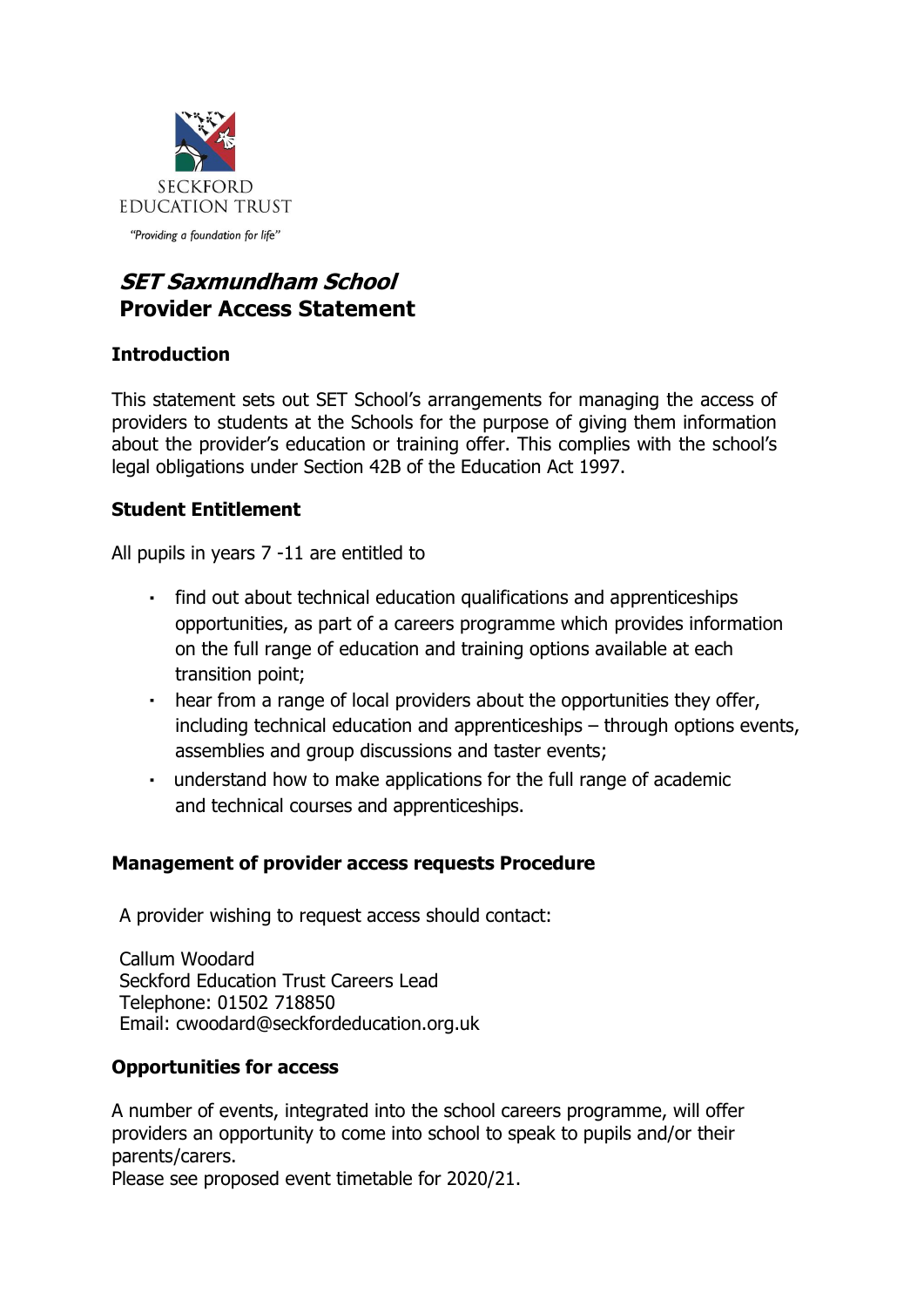

# **SET Saxmundham School Provider Access Statement**

## **Introduction**

This statement sets out SET School's arrangements for managing the access of providers to students at the Schools for the purpose of giving them information about the provider's education or training offer. This complies with the school's legal obligations under Section 42B of the Education Act 1997.

## **Student Entitlement**

All pupils in years 7 -11 are entitled to

- find out about technical education qualifications and apprenticeships opportunities, as part of a careers programme which provides information on the full range of education and training options available at each transition point;
- hear from a range of local providers about the opportunities they offer, including technical education and apprenticeships – through options events, assemblies and group discussions and taster events;
- understand how to make applications for the full range of academic and technical courses and apprenticeships.

## **Management of provider access requests Procedure**

A provider wishing to request access should contact:

Callum Woodard Seckford Education Trust Careers Lead Telephone: 01502 718850 Email: cwoodard@seckfordeducation.org.uk

#### **Opportunities for access**

A number of events, integrated into the school careers programme, will offer providers an opportunity to come into school to speak to pupils and/or their parents/carers.

Please see proposed event timetable for 2020/21.